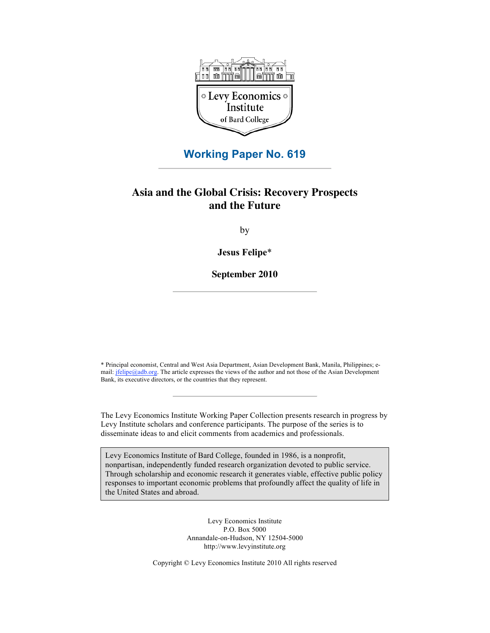

## **Working Paper No. 619**

## **Asia and the Global Crisis: Recovery Prospects and the Future**

by

**Jesus Felipe**\*

**September 2010**

\* Principal economist, Central and West Asia Department, Asian Development Bank, Manila, Philippines; email: jfelipe@adb.org. The article expresses the views of the author and not those of the Asian Development Bank, its executive directors, or the countries that they represent.

The Levy Economics Institute Working Paper Collection presents research in progress by Levy Institute scholars and conference participants. The purpose of the series is to disseminate ideas to and elicit comments from academics and professionals.

Levy Economics Institute of Bard College, founded in 1986, is a nonprofit, nonpartisan, independently funded research organization devoted to public service. Through scholarship and economic research it generates viable, effective public policy responses to important economic problems that profoundly affect the quality of life in the United States and abroad.

> Levy Economics Institute P.O. Box 5000 Annandale-on-Hudson, NY 12504-5000 http://www.levyinstitute.org

Copyright © Levy Economics Institute 2010 All rights reserved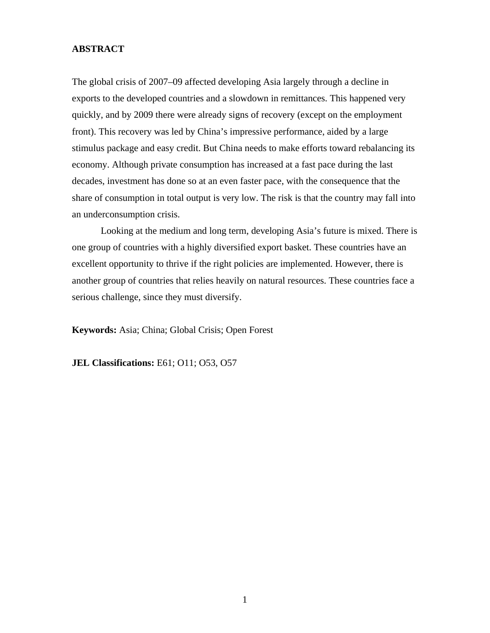### **ABSTRACT**

The global crisis of 2007–09 affected developing Asia largely through a decline in exports to the developed countries and a slowdown in remittances. This happened very quickly, and by 2009 there were already signs of recovery (except on the employment front). This recovery was led by China's impressive performance, aided by a large stimulus package and easy credit. But China needs to make efforts toward rebalancing its economy. Although private consumption has increased at a fast pace during the last decades, investment has done so at an even faster pace, with the consequence that the share of consumption in total output is very low. The risk is that the country may fall into an underconsumption crisis.

Looking at the medium and long term, developing Asia's future is mixed. There is one group of countries with a highly diversified export basket. These countries have an excellent opportunity to thrive if the right policies are implemented. However, there is another group of countries that relies heavily on natural resources. These countries face a serious challenge, since they must diversify.

**Keywords:** Asia; China; Global Crisis; Open Forest

**JEL Classifications:** E61; O11; O53, O57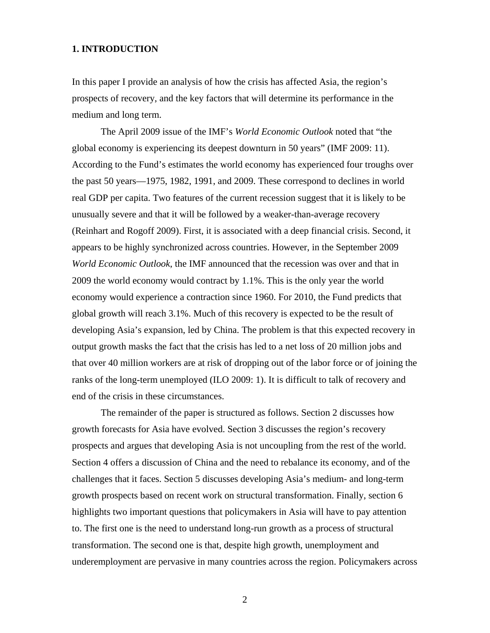#### **1. INTRODUCTION**

In this paper I provide an analysis of how the crisis has affected Asia, the region's prospects of recovery, and the key factors that will determine its performance in the medium and long term.

The April 2009 issue of the IMF's *World Economic Outlook* noted that "the global economy is experiencing its deepest downturn in 50 years" (IMF 2009: 11). According to the Fund's estimates the world economy has experienced four troughs over the past 50 years—1975, 1982, 1991, and 2009. These correspond to declines in world real GDP per capita. Two features of the current recession suggest that it is likely to be unusually severe and that it will be followed by a weaker-than-average recovery (Reinhart and Rogoff 2009). First, it is associated with a deep financial crisis. Second, it appears to be highly synchronized across countries. However, in the September 2009 *World Economic Outlook*, the IMF announced that the recession was over and that in 2009 the world economy would contract by 1.1%. This is the only year the world economy would experience a contraction since 1960. For 2010, the Fund predicts that global growth will reach 3.1%. Much of this recovery is expected to be the result of developing Asia's expansion, led by China. The problem is that this expected recovery in output growth masks the fact that the crisis has led to a net loss of 20 million jobs and that over 40 million workers are at risk of dropping out of the labor force or of joining the ranks of the long-term unemployed (ILO 2009: 1). It is difficult to talk of recovery and end of the crisis in these circumstances.

The remainder of the paper is structured as follows. Section 2 discusses how growth forecasts for Asia have evolved. Section 3 discusses the region's recovery prospects and argues that developing Asia is not uncoupling from the rest of the world. Section 4 offers a discussion of China and the need to rebalance its economy, and of the challenges that it faces. Section 5 discusses developing Asia's medium- and long-term growth prospects based on recent work on structural transformation. Finally, section 6 highlights two important questions that policymakers in Asia will have to pay attention to. The first one is the need to understand long-run growth as a process of structural transformation. The second one is that, despite high growth, unemployment and underemployment are pervasive in many countries across the region. Policymakers across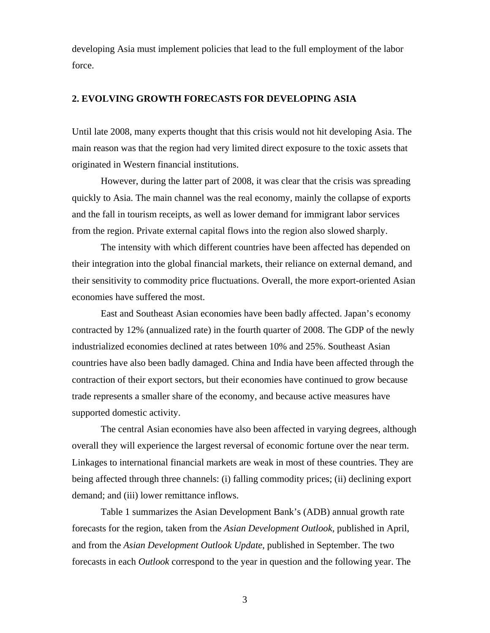developing Asia must implement policies that lead to the full employment of the labor force.

## **2. EVOLVING GROWTH FORECASTS FOR DEVELOPING ASIA**

Until late 2008, many experts thought that this crisis would not hit developing Asia. The main reason was that the region had very limited direct exposure to the toxic assets that originated in Western financial institutions.

However, during the latter part of 2008, it was clear that the crisis was spreading quickly to Asia. The main channel was the real economy, mainly the collapse of exports and the fall in tourism receipts, as well as lower demand for immigrant labor services from the region. Private external capital flows into the region also slowed sharply.

The intensity with which different countries have been affected has depended on their integration into the global financial markets, their reliance on external demand, and their sensitivity to commodity price fluctuations. Overall, the more export-oriented Asian economies have suffered the most.

East and Southeast Asian economies have been badly affected. Japan's economy contracted by 12% (annualized rate) in the fourth quarter of 2008. The GDP of the newly industrialized economies declined at rates between 10% and 25%. Southeast Asian countries have also been badly damaged. China and India have been affected through the contraction of their export sectors, but their economies have continued to grow because trade represents a smaller share of the economy, and because active measures have supported domestic activity.

The central Asian economies have also been affected in varying degrees, although overall they will experience the largest reversal of economic fortune over the near term. Linkages to international financial markets are weak in most of these countries. They are being affected through three channels: (i) falling commodity prices; (ii) declining export demand; and (iii) lower remittance inflows.

Table 1 summarizes the Asian Development Bank's (ADB) annual growth rate forecasts for the region, taken from the *Asian Development Outlook*, published in April, and from the *Asian Development Outlook Update*, published in September. The two forecasts in each *Outlook* correspond to the year in question and the following year. The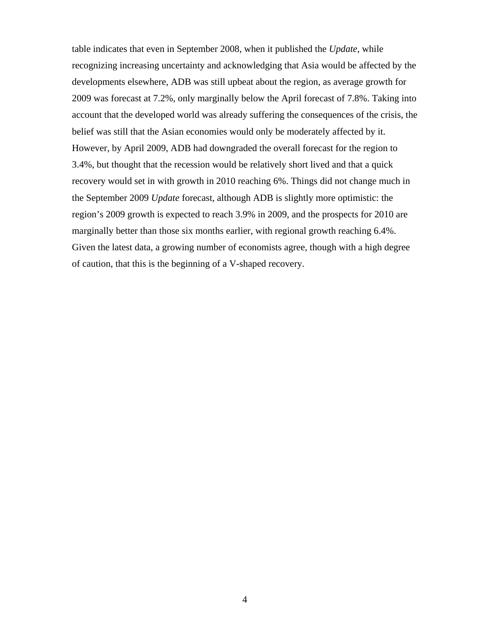table indicates that even in September 2008, when it published the *Update*, while recognizing increasing uncertainty and acknowledging that Asia would be affected by the developments elsewhere, ADB was still upbeat about the region, as average growth for 2009 was forecast at 7.2%, only marginally below the April forecast of 7.8%. Taking into account that the developed world was already suffering the consequences of the crisis, the belief was still that the Asian economies would only be moderately affected by it. However, by April 2009, ADB had downgraded the overall forecast for the region to 3.4%, but thought that the recession would be relatively short lived and that a quick recovery would set in with growth in 2010 reaching 6%. Things did not change much in the September 2009 *Update* forecast, although ADB is slightly more optimistic: the region's 2009 growth is expected to reach 3.9% in 2009, and the prospects for 2010 are marginally better than those six months earlier, with regional growth reaching 6.4%. Given the latest data, a growing number of economists agree, though with a high degree of caution, that this is the beginning of a V-shaped recovery.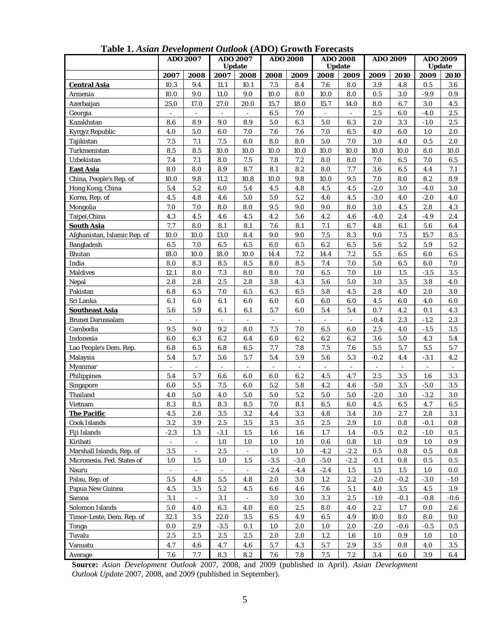|                              | <b>ADO 2007</b>          |                          | <b>ADO 2007</b><br><b>Update</b> |                          | <b>ADO 2008</b> |                          | <b>ADO 2008</b><br><b>Update</b> |                          | <b>ADO 2009</b> |                | <b>ADO 2009</b><br><b>Update</b> |            |
|------------------------------|--------------------------|--------------------------|----------------------------------|--------------------------|-----------------|--------------------------|----------------------------------|--------------------------|-----------------|----------------|----------------------------------|------------|
|                              | 2007<br>2008             |                          | 2007<br>2008<br>2008             |                          |                 | 2008<br>2009             |                                  | 2009                     | 2009<br>2010    |                | 2009<br>2010                     |            |
| <b>Central Asia</b>          | 10.3                     | 9.4                      | 11.1                             | 10.1                     | 7.5             | 8.4                      | 7.6                              | 8.0                      | 3.9             | 4.8            | 0.5                              | 3.6        |
| Armenia                      | 10.0                     | 9.0                      | 11.0                             | 9.0                      | 10.0            | 8.0                      | 10.0                             | 8.0                      | 0.5             | 3.0            | $-9.9$                           | 0.9        |
| Azerbaijan                   | 25.0                     | 17.0                     | 27.0                             | 20.0                     | 15.7            | 18.0                     | 15.7                             | 14.0                     | 8.0             | 6.7            | 3.0                              | 4.5        |
| Georgia                      | $\blacksquare$           | $\blacksquare$           | $\Box$                           | $\blacksquare$           | 6.5             | 7.0                      | $\overline{\phantom{a}}$         | $\overline{\phantom{a}}$ | 2.5             | 6.0            | $-4.0$                           | $2.5\,$    |
| Kazakhstan                   | 8.6                      | 8.9                      | 9.0                              | 8.9                      | 5.0             | 6.3                      | 5.0                              | 6.3                      | 2.0             | 3.3            | $-1.0$                           | 2.5        |
| Kyrgyz Republic              | 4.0                      | 5.0                      | 6.0                              | $7.0\,$                  | 7.6             | 7.6                      | $7.0\,$                          | $\bf 6.5$                | 4.0             | 6.0            | 1.0                              | 2.0        |
| Tajikistan                   | 7.5                      | 7.1                      | 7.5                              | 8.0                      | 8.0             | 8.0                      | 5.0                              | $7.0$                    | 3.0             | 4.0            | 0.5                              | 2.0        |
| Turkmenistan                 | 8.5                      | 8.5                      | 10.0                             | 10.0                     | 10.0            | 10.0                     | 10.0                             | 10.0                     | 10.0            | 10.0           | 8.0                              | 10.0       |
| Uzbekistan                   | $7.4\,$                  | 7.1                      | 8.0                              | $7.5\,$                  | 7.8             | 7.2                      | 8.0                              | 8.0                      | $7.0$           | $\bf 6.5$      | 7.0                              | 6.5        |
| <b>East Asia</b>             | 8.0                      | 8.0                      | 8.9                              | 8.7                      | 8.1             | 8.2                      | 8.0                              | 7.7                      | 3.6             | 6.5            | 4.4                              | 7.1        |
| China, People's Rep. of      | 10.0                     | 9.8                      | 11.2                             | 10.8                     | 10.0            | $9.8\,$                  | 10.0                             | 9.5                      | $7.0$           | 8.0            | 8.2                              | 8.9        |
| Hong Kong, China             | 5.4                      | 5.2                      | 6.0                              | 5.4                      | 4.5             | 4.8                      | 4.5                              | 4.5                      | $-2.0$          | 3.0            | $-4.0$                           | $3.0\,$    |
| Korea, Rep. of               | 4.5                      | 4.8                      | 4.6                              | 5.0                      | 5.0             | 5.2                      | 4.6                              | 4.5                      | $-3.0$          | 4.0            | $-2.0$                           | 4.0        |
| Mongolia                     | 7.0                      | 7.0                      | 8.0                              | 8.0                      | 9.5             | 9.0                      | 9.0                              | 8.0                      | 3.0             | 4.5            | 2.8                              | 4.3        |
| Taipei, China                | 4.3                      | 4.5                      | 4.6                              | 4.5                      | 4.2             | 5.6                      | 4.2                              | 4.6                      | $-4.0$          | 2.4            | $-4.9$                           | 2.4        |
| <b>South Asia</b>            | 7.7                      | 8.0                      | 8.1                              | 8.1                      | 7.6             | 8.1                      | 7.1                              | 6.7                      | 4.8             | 6.1            | 5.6                              | 6.4        |
| Afghanistan, Islamic Rep. of | 10.0                     | 10.0                     | 13.0                             | 8.4                      | 9.0             | 9.0                      | $7.5\,$                          | 8.3                      | 9.0             | $7.5\,$        | 15.7                             | 8.5        |
| <b>Bangladesh</b>            | 6.5                      | 7.0                      | 6.5                              | $\bf 6.5$                | 6.0             | 6.5                      | 6.2                              | $\bf 6.5$                | 5.6             | 5.2            | 5.9                              | $5.2\,$    |
| <b>Bhutan</b>                | 18.0                     | 10.0                     | 18.0                             | 10.0                     | 14.4            | 7.2                      | 14.4                             | 7.2                      | $5.5\,$         | 6.5            | 6.0                              | 6.5        |
| India                        | 8.0                      | 8.3                      | 8.5                              | 8.5                      | 8.0             | 8.5                      | $7.4\,$                          | 7.0                      | 5.0             | 6.5            | 6.0                              | $7.0\,$    |
| <b>Maldives</b>              | 12.1                     | 8.0                      | $7.3\,$                          | 8.0                      | 8.0             | $7.0\,$                  | $\bf 6.5$                        | $7.0$                    | 1.0             | 1.5            | $-3.5$                           | 3.5        |
| Nepal                        | 2.8                      | 2.8                      | 2.5                              | 2.8                      | 3.8             | 4.3                      | 5.6                              | 5.0                      | 3.0             | $3.5\,$        | 3.8                              | 4.0        |
| Pakistan                     | 6.8                      | $\bf 6.5$                | $7.0\,$                          | 6.5                      | 6.3             | 6.5                      | 5.8                              | 4.5                      | 2.8             | 4.0            | 2.0                              | $3.0\,$    |
| Sri Lanka                    | 6.1                      | 6.0                      | 6.1                              | 6.0                      | 6.0             | 6.0                      | 6.0                              | 6.0                      | 4.5             | 6.0            | 4.0                              | 6.0        |
| <b>Southeast Asia</b>        | 5.6                      | 5.9                      | 6.1                              | 6.1                      | 5.7             | 6.0                      | 5.4                              | 5.4                      | 0.7             | 4.2            | 0.1                              | 4.3        |
| <b>Brunei Darussalam</b>     | $\overline{\phantom{a}}$ | $\sim$                   | $\blacksquare$                   | $\overline{\phantom{a}}$ | $\blacksquare$  | $\overline{\phantom{a}}$ | $\blacksquare$                   | $\overline{\phantom{a}}$ | $-0.4$          | 2.3            | $-1.2$                           | 2.3        |
| Cambodia                     | 9.5                      | 9.0                      | 9.2                              | 8.0                      | 7.5             | 7.0                      | 6.5                              | 6.0                      | 2.5             | 4.0            | $-1.5$                           | $3.5\,$    |
| Indonesia                    | 6.0                      | 6.3                      | 6.2                              | 6.4                      | 6.0             | 6.2                      | 6.2                              | 6.2                      | 3.6             | $5.0\,$        | 4.3                              | $5.4\,$    |
| Lao People's Dem. Rep.       | 6.8                      | $\bf 6.5$                | $6.8\,$                          | 6.5                      | 7.7             | 7.8                      | $7.5\,$                          | 7.6                      | $5.5\,$         | 5.7            | $5.5\,$                          | 5.7        |
| Malaysia                     | $5.4\,$                  | 5.7                      | 5.6                              | 5.7                      | 5.4             | 5.9                      | 5.6                              | $5.3\,$                  | $-0.2$          | 4.4            | $-3.1$                           | 4.2        |
| Myanmar                      | $\blacksquare$           |                          | $\blacksquare$                   | $\blacksquare$           | -               | $\overline{\phantom{a}}$ | $\overline{\phantom{a}}$         | $\overline{\phantom{a}}$ |                 | $\blacksquare$ | $\overline{a}$                   |            |
| Philippines                  | 5.4                      | 5.7                      | 6.6                              | 6.0                      | 6.0             | 6.2                      | 4.5                              | 4.7                      | 2.5             | 3.5            | 1.6                              | 3.3        |
| Singapore                    | 6.0                      | $5.5\,$                  | $7.5\,$                          | 6.0                      | 5.2             | $5.8\,$                  | 4.2                              | 4.6                      | $-5.0$          | $3.5\,$        | $-5.0$                           | 3.5        |
| Thailand                     | 4.0                      | $5.0\,$                  | 4.0                              | 5.0                      | 5.0             | 5.2                      | $5.0\,$                          | $5.0\,$                  | $-2.0$          | 3.0            | $-3.2$                           | 3.0        |
| Vietnam                      | 8.3                      | 8.5                      | 8.3                              | 8.5                      | 7.0             | 8.1                      | 6.5                              | 6.0                      | 4.5             | 6.5            | 4.7                              | 6.5        |
| The Pacific                  | 4.5                      | 2.8                      | 3.5                              | $3.2\,$                  | 4.4             | 3.3                      | 4.8                              | 3.4                      | $3.0\,$         | $2.7\,$        | 2.8                              | 3.1        |
| Cook Islands                 | 3.2                      | 3.9                      | 2.5                              | 3.5                      | 3.5             | 3.5                      | 2.5                              | 2.9                      | 1.0             | 0.8            | $-0.1$                           | 0.8        |
| Fiji Islands                 | $-2.3$                   | 1.3                      | $-3.1$                           | 1.5                      | 1.6             | 1.6                      | 1.7                              | 1.4                      | $-0.5$          | 0.2            | $-1.0$                           | 0.5        |
| Kiribati                     |                          | $\overline{\phantom{a}}$ | 1.0                              | $1.0\,$                  | 1.0             | 1.0                      | 0.6                              | $0.8\,$                  | $1.0\,$         | 0.9            | 1.0                              | 0.9        |
| Marshall Islands, Rep. of    | $3.5\,$                  | $\overline{\phantom{a}}$ | $2.5\,$                          | $\overline{\phantom{a}}$ | $1.0$           | 1.0                      | $-4.2$                           | $-2.2$                   | 0.5             | 0.8            | 0.5                              | 0.8        |
| Micronesia. Fed. States of   | $1.0\,$                  | 1.5                      | 1.0                              | 1.5                      | $-3.5$          | $-3.0$                   | $-5.0$                           | $-2.2$                   | $-0.1$          | 0.8            | 0.5                              | $0.5\,$    |
| Nauru                        | $\blacksquare$           |                          | $\overline{\phantom{a}}$         |                          | $-2.4$          | $-4.4$                   | $-2.4$                           | 1.5                      | 1.5             | 1.5            | $1.0\,$                          | 0.0        |
| Palau, Rep. of               | 5.5                      | 4.8                      | 5.5                              | 4.8                      | 2.0             | 3.0                      | $1.2\,$                          | $2.2\,$                  | $-2.0$          | $-0.2$         | $-3.0$                           | -1.0       |
| Papua New Guinea             | 4.5                      | 3.5                      | $5.2\,$                          | 4.5                      | 6.6             | 4.6                      | $7.6\,$                          | 5.1                      | 4.0             | $3.5\,$        | 4.5                              | 3.9        |
| Samoa                        | 3.1                      | $\blacksquare$           | 3.1                              | $\Box$                   | $3.0\,$         | 3.0                      | $\!3.3\!$                        | $2.5\,$                  | $-1.0$          | $-0.1$         | $-0.8$                           | $-0.6$     |
| Solomon Islands              | $5.0\,$                  | 4.0                      | 6.3                              | 4.0                      | 6.0             | $2.5\,$                  | $8.0\,$                          | 4.0                      | 2.2             | $1.7\,$        | 0.0                              | 2.6        |
| Timor-Leste, Dem. Rep. of    | 32.1                     | $3.5\,$                  | 22.0                             | $\!3.5\!$                | 6.5             | 4.9                      | $\bf 6.5$                        | 4.9                      | 10.0            | 8.0            | $\bf 8.0$                        | 9.0        |
| Tonga                        | 0.0                      | $2.9\,$                  | $-3.5$                           | 0.1                      | 1.0             | 2.0                      | $1.0\,$                          | 2.0                      | $-2.0$          | $-0.6$         | $-0.5$                           | 0.5        |
| Tuvalu                       | 2.5                      | 2.5                      | $2.5\,$                          | 2.5                      | 2.0             | 2.0                      | 1.2                              | 1.6                      | 1.0             | 0.9            | 1.0                              | $1.0\,$    |
| Vanuatu                      | 4.7                      | 4.6                      | 4.7                              | 4.6                      | $5.7\,$         | 4.3                      | $5.7\,$                          | $2.9\,$                  | 3.5             | 0.8            | $4.0\,$                          | $3.5\,$    |
| Average                      | $7.6\,$                  | $7.7\,$                  | $\bf 8.3$                        | $\bf 8.2$                | $7.6\,$         | $7.8\,$                  | $7.5\,$                          | $7.2\,$                  | 3.4             | $6.0\,$        | $\bf 3.9$                        | $\bf{6.4}$ |

**Table 1.** *Asian Development Outlook* **(ADO) Growth Forecasts**

**Source:** *Asian Development Outlook* 2007, 2008, and 2009 (published in April). *Asian Development Outlook Update* 2007, 2008, and 2009 (published in September).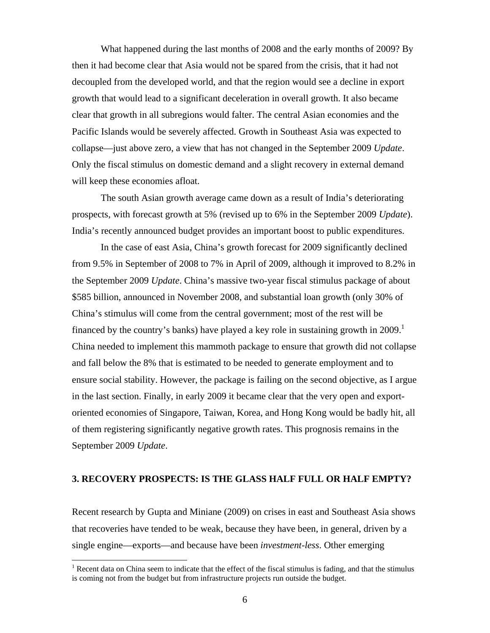What happened during the last months of 2008 and the early months of 2009? By then it had become clear that Asia would not be spared from the crisis, that it had not decoupled from the developed world, and that the region would see a decline in export growth that would lead to a significant deceleration in overall growth. It also became clear that growth in all subregions would falter. The central Asian economies and the Pacific Islands would be severely affected. Growth in Southeast Asia was expected to collapse—just above zero, a view that has not changed in the September 2009 *Update*. Only the fiscal stimulus on domestic demand and a slight recovery in external demand will keep these economies afloat.

The south Asian growth average came down as a result of India's deteriorating prospects, with forecast growth at 5% (revised up to 6% in the September 2009 *Update*). India's recently announced budget provides an important boost to public expenditures.

In the case of east Asia, China's growth forecast for 2009 significantly declined from 9.5% in September of 2008 to 7% in April of 2009, although it improved to 8.2% in the September 2009 *Update*. China's massive two-year fiscal stimulus package of about \$585 billion, announced in November 2008, and substantial loan growth (only 30% of China's stimulus will come from the central government; most of the rest will be financed by the country's banks) have played a key role in sustaining growth in  $2009$ .<sup>1</sup> China needed to implement this mammoth package to ensure that growth did not collapse and fall below the 8% that is estimated to be needed to generate employment and to ensure social stability. However, the package is failing on the second objective, as I argue in the last section. Finally, in early 2009 it became clear that the very open and exportoriented economies of Singapore, Taiwan, Korea, and Hong Kong would be badly hit, all of them registering significantly negative growth rates. This prognosis remains in the September 2009 *Update*.

#### **3. RECOVERY PROSPECTS: IS THE GLASS HALF FULL OR HALF EMPTY?**

Recent research by Gupta and Miniane (2009) on crises in east and Southeast Asia shows that recoveries have tended to be weak, because they have been, in general, driven by a single engine—exports—and because have been *investment-less*. Other emerging

<sup>&</sup>lt;sup>1</sup> Recent data on China seem to indicate that the effect of the fiscal stimulus is fading, and that the stimulus is coming not from the budget but from infrastructure projects run outside the budget.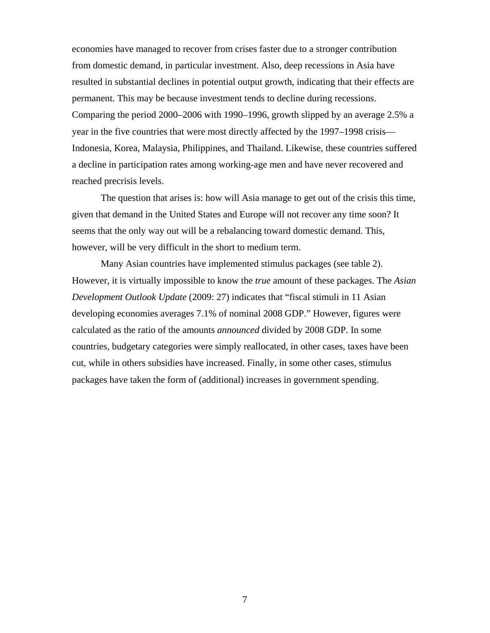economies have managed to recover from crises faster due to a stronger contribution from domestic demand, in particular investment. Also, deep recessions in Asia have resulted in substantial declines in potential output growth, indicating that their effects are permanent. This may be because investment tends to decline during recessions. Comparing the period 2000–2006 with 1990–1996, growth slipped by an average 2.5% a year in the five countries that were most directly affected by the 1997–1998 crisis— Indonesia, Korea, Malaysia, Philippines, and Thailand. Likewise, these countries suffered a decline in participation rates among working-age men and have never recovered and reached precrisis levels.

The question that arises is: how will Asia manage to get out of the crisis this time, given that demand in the United States and Europe will not recover any time soon? It seems that the only way out will be a rebalancing toward domestic demand. This, however, will be very difficult in the short to medium term.

Many Asian countries have implemented stimulus packages (see table 2). However, it is virtually impossible to know the *true* amount of these packages. The *Asian Development Outlook Update* (2009: 27) indicates that "fiscal stimuli in 11 Asian developing economies averages 7.1% of nominal 2008 GDP." However, figures were calculated as the ratio of the amounts *announced* divided by 2008 GDP. In some countries, budgetary categories were simply reallocated, in other cases, taxes have been cut, while in others subsidies have increased. Finally, in some other cases, stimulus packages have taken the form of (additional) increases in government spending.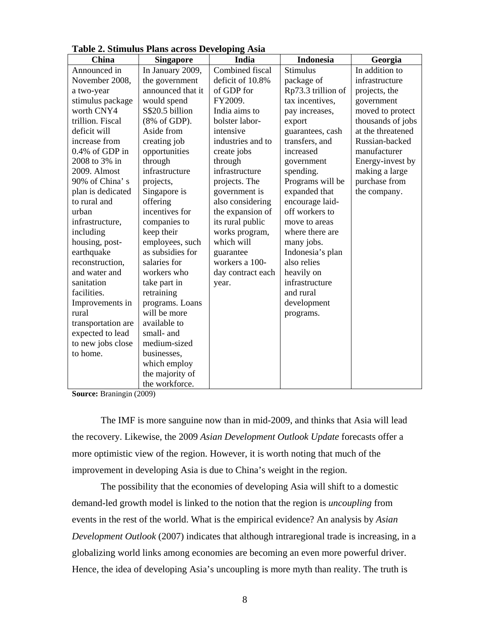| <b>China</b>       | <b>Singapore</b>  | India             | <b>Indonesia</b>   | Georgia           |
|--------------------|-------------------|-------------------|--------------------|-------------------|
| Announced in       | In January 2009,  | Combined fiscal   | <b>Stimulus</b>    | In addition to    |
| November 2008,     | the government    | deficit of 10.8%  | package of         | infrastructure    |
| a two-year         | announced that it | of GDP for        | Rp73.3 trillion of | projects, the     |
| stimulus package   | would spend       | FY2009.           | tax incentives,    | government        |
| worth CNY4         | S\$20.5 billion   | India aims to     | pay increases,     | moved to protect  |
| trillion. Fiscal   | (8% of GDP).      | bolster labor-    | export             | thousands of jobs |
| deficit will       | Aside from        | intensive         | guarantees, cash   | at the threatened |
| increase from      | creating job      | industries and to | transfers, and     | Russian-backed    |
| 0.4% of GDP in     | opportunities     | create jobs       | increased          | manufacturer      |
| 2008 to 3% in      | through           | through           | government         | Energy-invest by  |
| 2009. Almost       | infrastructure    | infrastructure    | spending.          | making a large    |
| 90% of China's     | projects,         | projects. The     | Programs will be   | purchase from     |
| plan is dedicated  | Singapore is      | government is     | expanded that      | the company.      |
| to rural and       | offering          | also considering  | encourage laid-    |                   |
| urban              | incentives for    | the expansion of  | off workers to     |                   |
| infrastructure,    | companies to      | its rural public  | move to areas      |                   |
| including          | keep their        | works program,    | where there are    |                   |
| housing, post-     | employees, such   | which will        | many jobs.         |                   |
| earthquake         | as subsidies for  | guarantee         | Indonesia's plan   |                   |
| reconstruction,    | salaries for      | workers a 100-    | also relies        |                   |
| and water and      | workers who       | day contract each | heavily on         |                   |
| sanitation         | take part in      | year.             | infrastructure     |                   |
| facilities.        | retraining        |                   | and rural          |                   |
| Improvements in    | programs. Loans   |                   | development        |                   |
| rural              | will be more      |                   | programs.          |                   |
| transportation are | available to      |                   |                    |                   |
| expected to lead   | small- and        |                   |                    |                   |
| to new jobs close  | medium-sized      |                   |                    |                   |
| to home.           | businesses,       |                   |                    |                   |
|                    | which employ      |                   |                    |                   |
|                    | the majority of   |                   |                    |                   |
|                    | the workforce.    |                   |                    |                   |

**Table 2. Stimulus Plans across Developing Asia** 

**Source:** Braningin (2009)

The IMF is more sanguine now than in mid-2009, and thinks that Asia will lead the recovery. Likewise, the 2009 *Asian Development Outlook Update* forecasts offer a more optimistic view of the region. However, it is worth noting that much of the improvement in developing Asia is due to China's weight in the region.

The possibility that the economies of developing Asia will shift to a domestic demand-led growth model is linked to the notion that the region is *uncoupling* from events in the rest of the world. What is the empirical evidence? An analysis by *Asian Development Outlook* (2007) indicates that although intraregional trade is increasing, in a globalizing world links among economies are becoming an even more powerful driver. Hence, the idea of developing Asia's uncoupling is more myth than reality. The truth is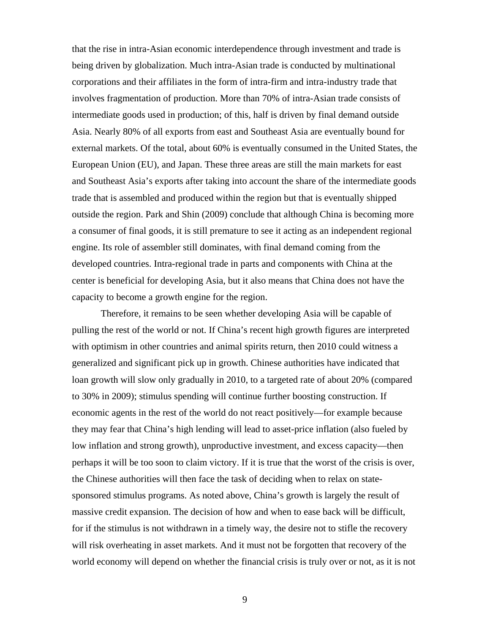that the rise in intra-Asian economic interdependence through investment and trade is being driven by globalization. Much intra-Asian trade is conducted by multinational corporations and their affiliates in the form of intra-firm and intra-industry trade that involves fragmentation of production. More than 70% of intra-Asian trade consists of intermediate goods used in production; of this, half is driven by final demand outside Asia. Nearly 80% of all exports from east and Southeast Asia are eventually bound for external markets. Of the total, about 60% is eventually consumed in the United States, the European Union (EU), and Japan. These three areas are still the main markets for east and Southeast Asia's exports after taking into account the share of the intermediate goods trade that is assembled and produced within the region but that is eventually shipped outside the region. Park and Shin (2009) conclude that although China is becoming more a consumer of final goods, it is still premature to see it acting as an independent regional engine. Its role of assembler still dominates, with final demand coming from the developed countries. Intra-regional trade in parts and components with China at the center is beneficial for developing Asia, but it also means that China does not have the capacity to become a growth engine for the region.

Therefore, it remains to be seen whether developing Asia will be capable of pulling the rest of the world or not. If China's recent high growth figures are interpreted with optimism in other countries and animal spirits return, then 2010 could witness a generalized and significant pick up in growth. Chinese authorities have indicated that loan growth will slow only gradually in 2010, to a targeted rate of about 20% (compared to 30% in 2009); stimulus spending will continue further boosting construction. If economic agents in the rest of the world do not react positively—for example because they may fear that China's high lending will lead to asset-price inflation (also fueled by low inflation and strong growth), unproductive investment, and excess capacity—then perhaps it will be too soon to claim victory. If it is true that the worst of the crisis is over, the Chinese authorities will then face the task of deciding when to relax on statesponsored stimulus programs. As noted above, China's growth is largely the result of massive credit expansion. The decision of how and when to ease back will be difficult, for if the stimulus is not withdrawn in a timely way, the desire not to stifle the recovery will risk overheating in asset markets. And it must not be forgotten that recovery of the world economy will depend on whether the financial crisis is truly over or not, as it is not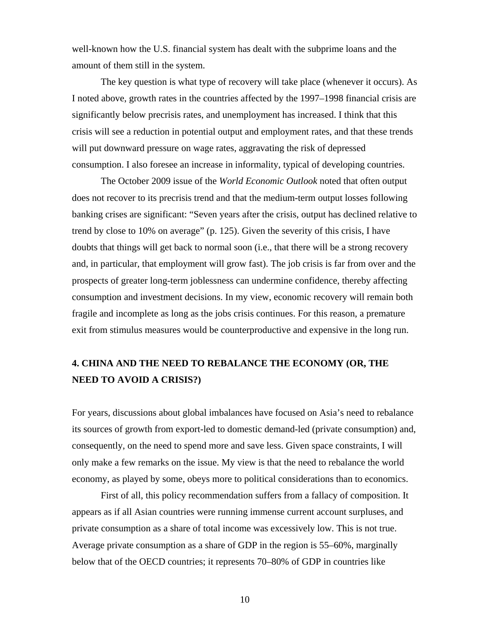well-known how the U.S. financial system has dealt with the subprime loans and the amount of them still in the system.

The key question is what type of recovery will take place (whenever it occurs). As I noted above, growth rates in the countries affected by the 1997–1998 financial crisis are significantly below precrisis rates, and unemployment has increased. I think that this crisis will see a reduction in potential output and employment rates, and that these trends will put downward pressure on wage rates, aggravating the risk of depressed consumption. I also foresee an increase in informality, typical of developing countries.

The October 2009 issue of the *World Economic Outlook* noted that often output does not recover to its precrisis trend and that the medium-term output losses following banking crises are significant: "Seven years after the crisis, output has declined relative to trend by close to 10% on average" (p. 125). Given the severity of this crisis, I have doubts that things will get back to normal soon (i.e., that there will be a strong recovery and, in particular, that employment will grow fast). The job crisis is far from over and the prospects of greater long-term joblessness can undermine confidence, thereby affecting consumption and investment decisions. In my view, economic recovery will remain both fragile and incomplete as long as the jobs crisis continues. For this reason, a premature exit from stimulus measures would be counterproductive and expensive in the long run.

# **4. CHINA AND THE NEED TO REBALANCE THE ECONOMY (OR, THE NEED TO AVOID A CRISIS?)**

For years, discussions about global imbalances have focused on Asia's need to rebalance its sources of growth from export-led to domestic demand-led (private consumption) and, consequently, on the need to spend more and save less. Given space constraints, I will only make a few remarks on the issue. My view is that the need to rebalance the world economy, as played by some, obeys more to political considerations than to economics.

First of all, this policy recommendation suffers from a fallacy of composition. It appears as if all Asian countries were running immense current account surpluses, and private consumption as a share of total income was excessively low. This is not true. Average private consumption as a share of GDP in the region is 55–60%, marginally below that of the OECD countries; it represents 70–80% of GDP in countries like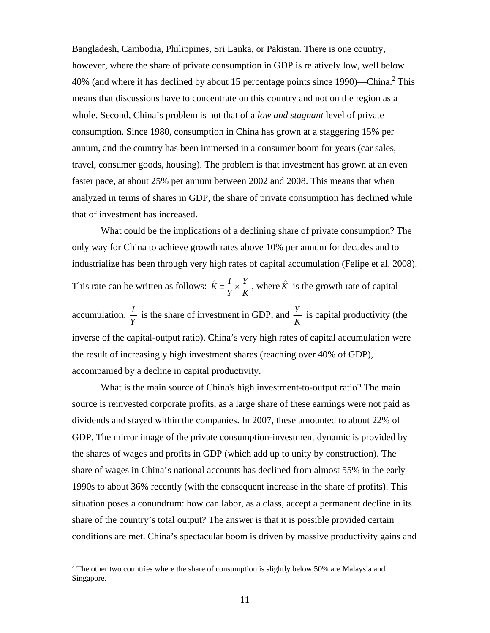Bangladesh, Cambodia, Philippines, Sri Lanka, or Pakistan. There is one country, however, where the share of private consumption in GDP is relatively low, well below 40% (and where it has declined by about 15 percentage points since 1990)—China.<sup>2</sup> This means that discussions have to concentrate on this country and not on the region as a whole. Second, China's problem is not that of a *low and stagnant* level of private consumption. Since 1980, consumption in China has grown at a staggering 15% per annum, and the country has been immersed in a consumer boom for years (car sales, travel, consumer goods, housing). The problem is that investment has grown at an even faster pace, at about 25% per annum between 2002 and 2008. This means that when analyzed in terms of shares in GDP, the share of private consumption has declined while that of investment has increased.

What could be the implications of a declining share of private consumption? The only way for China to achieve growth rates above 10% per annum for decades and to industrialize has been through very high rates of capital accumulation (Felipe et al. 2008). This rate can be written as follows: *K Y Y*  $\hat{K} = \frac{I}{K} \times \frac{Y}{K}$ , where  $\hat{K}$  is the growth rate of capital accumulation,  $\frac{I}{Y}$  is the share of investment in GDP, and  $\frac{Y}{K}$  is capital productivity (the inverse of the capital-output ratio). China's very high rates of capital accumulation were the result of increasingly high investment shares (reaching over 40% of GDP), accompanied by a decline in capital productivity.

What is the main source of China's high investment-to-output ratio? The main source is reinvested corporate profits, as a large share of these earnings were not paid as dividends and stayed within the companies. In 2007, these amounted to about 22% of GDP. The mirror image of the private consumption-investment dynamic is provided by the shares of wages and profits in GDP (which add up to unity by construction). The share of wages in China's national accounts has declined from almost 55% in the early 1990s to about 36% recently (with the consequent increase in the share of profits). This situation poses a conundrum: how can labor, as a class, accept a permanent decline in its share of the country's total output? The answer is that it is possible provided certain conditions are met. China's spectacular boom is driven by massive productivity gains and

 $2^2$  The other two countries where the share of consumption is slightly below 50% are Malaysia and Singapore.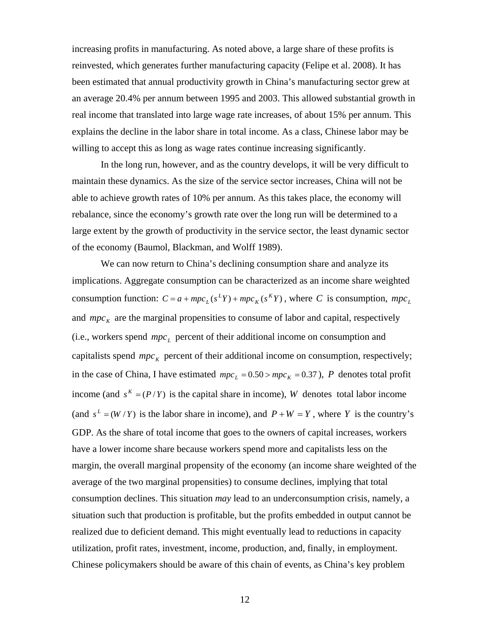increasing profits in manufacturing. As noted above, a large share of these profits is reinvested, which generates further manufacturing capacity (Felipe et al. 2008). It has been estimated that annual productivity growth in China's manufacturing sector grew at an average 20.4% per annum between 1995 and 2003. This allowed substantial growth in real income that translated into large wage rate increases, of about 15% per annum. This explains the decline in the labor share in total income. As a class, Chinese labor may be willing to accept this as long as wage rates continue increasing significantly.

In the long run, however, and as the country develops, it will be very difficult to maintain these dynamics. As the size of the service sector increases, China will not be able to achieve growth rates of 10% per annum. As this takes place, the economy will rebalance, since the economy's growth rate over the long run will be determined to a large extent by the growth of productivity in the service sector, the least dynamic sector of the economy (Baumol, Blackman, and Wolff 1989).

We can now return to China's declining consumption share and analyze its implications. Aggregate consumption can be characterized as an income share weighted consumption function:  $C = a + mpc_L(s^LY) + mpc_K(s^KY)$ , where *C* is consumption,  $mpc_L$ and  $mpc<sub>K</sub>$  are the marginal propensities to consume of labor and capital, respectively (i.e., workers spend  $mpc<sub>L</sub>$  percent of their additional income on consumption and capitalists spend  $mpc<sub>K</sub>$  percent of their additional income on consumption, respectively; in the case of China, I have estimated  $mpc_L = 0.50 > mpc_K = 0.37$ ), *P* denotes total profit income (and  $s<sup>K</sup> = (P/Y)$  is the capital share in income), *W* denotes total labor income (and  $s^L = (W/Y)$  is the labor share in income), and  $P + W = Y$ , where *Y* is the country's GDP. As the share of total income that goes to the owners of capital increases, workers have a lower income share because workers spend more and capitalists less on the margin, the overall marginal propensity of the economy (an income share weighted of the average of the two marginal propensities) to consume declines, implying that total consumption declines. This situation *may* lead to an underconsumption crisis, namely, a situation such that production is profitable, but the profits embedded in output cannot be realized due to deficient demand. This might eventually lead to reductions in capacity utilization, profit rates, investment, income, production, and, finally, in employment. Chinese policymakers should be aware of this chain of events, as China's key problem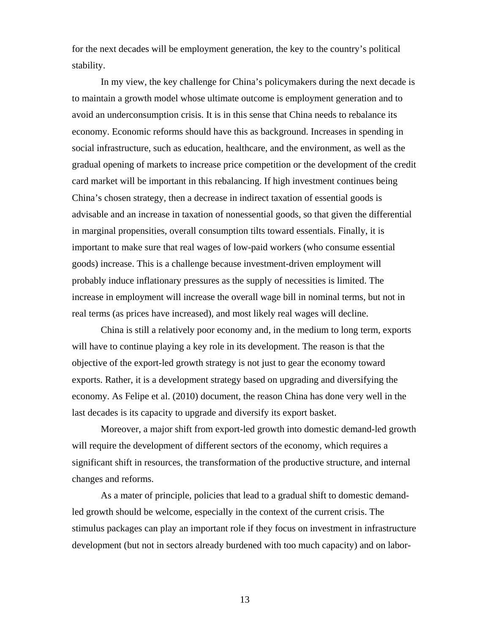for the next decades will be employment generation, the key to the country's political stability.

In my view, the key challenge for China's policymakers during the next decade is to maintain a growth model whose ultimate outcome is employment generation and to avoid an underconsumption crisis. It is in this sense that China needs to rebalance its economy. Economic reforms should have this as background. Increases in spending in social infrastructure, such as education, healthcare, and the environment, as well as the gradual opening of markets to increase price competition or the development of the credit card market will be important in this rebalancing. If high investment continues being China's chosen strategy, then a decrease in indirect taxation of essential goods is advisable and an increase in taxation of nonessential goods, so that given the differential in marginal propensities, overall consumption tilts toward essentials. Finally, it is important to make sure that real wages of low-paid workers (who consume essential goods) increase. This is a challenge because investment-driven employment will probably induce inflationary pressures as the supply of necessities is limited. The increase in employment will increase the overall wage bill in nominal terms, but not in real terms (as prices have increased), and most likely real wages will decline.

China is still a relatively poor economy and, in the medium to long term, exports will have to continue playing a key role in its development. The reason is that the objective of the export-led growth strategy is not just to gear the economy toward exports. Rather, it is a development strategy based on upgrading and diversifying the economy. As Felipe et al. (2010) document, the reason China has done very well in the last decades is its capacity to upgrade and diversify its export basket.

Moreover, a major shift from export-led growth into domestic demand-led growth will require the development of different sectors of the economy, which requires a significant shift in resources, the transformation of the productive structure, and internal changes and reforms.

As a mater of principle, policies that lead to a gradual shift to domestic demandled growth should be welcome, especially in the context of the current crisis. The stimulus packages can play an important role if they focus on investment in infrastructure development (but not in sectors already burdened with too much capacity) and on labor-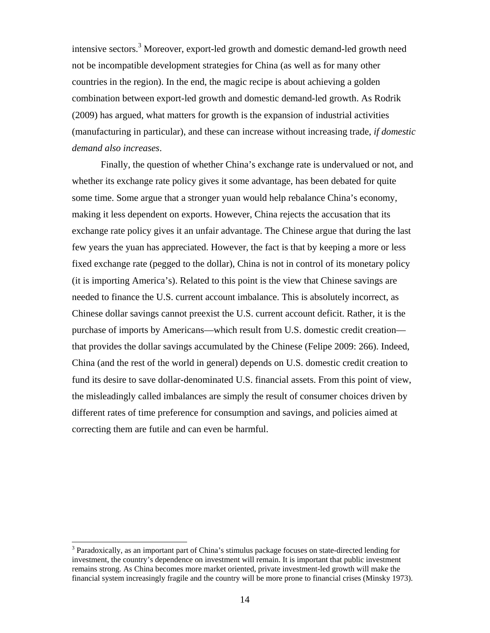intensive sectors.<sup>3</sup> Moreover, export-led growth and domestic demand-led growth need not be incompatible development strategies for China (as well as for many other countries in the region). In the end, the magic recipe is about achieving a golden combination between export-led growth and domestic demand-led growth. As Rodrik (2009) has argued, what matters for growth is the expansion of industrial activities (manufacturing in particular), and these can increase without increasing trade, *if domestic demand also increases*.

Finally, the question of whether China's exchange rate is undervalued or not, and whether its exchange rate policy gives it some advantage, has been debated for quite some time. Some argue that a stronger yuan would help rebalance China's economy, making it less dependent on exports. However, China rejects the accusation that its exchange rate policy gives it an unfair advantage. The Chinese argue that during the last few years the yuan has appreciated. However, the fact is that by keeping a more or less fixed exchange rate (pegged to the dollar), China is not in control of its monetary policy (it is importing America's). Related to this point is the view that Chinese savings are needed to finance the U.S. current account imbalance. This is absolutely incorrect, as Chinese dollar savings cannot preexist the U.S. current account deficit. Rather, it is the purchase of imports by Americans—which result from U.S. domestic credit creation that provides the dollar savings accumulated by the Chinese (Felipe 2009: 266). Indeed, China (and the rest of the world in general) depends on U.S. domestic credit creation to fund its desire to save dollar-denominated U.S. financial assets. From this point of view, the misleadingly called imbalances are simply the result of consumer choices driven by different rates of time preference for consumption and savings, and policies aimed at correcting them are futile and can even be harmful.

<sup>&</sup>lt;sup>3</sup> Paradoxically, as an important part of China's stimulus package focuses on state-directed lending for investment, the country's dependence on investment will remain. It is important that public investment remains strong. As China becomes more market oriented, private investment-led growth will make the financial system increasingly fragile and the country will be more prone to financial crises (Minsky 1973).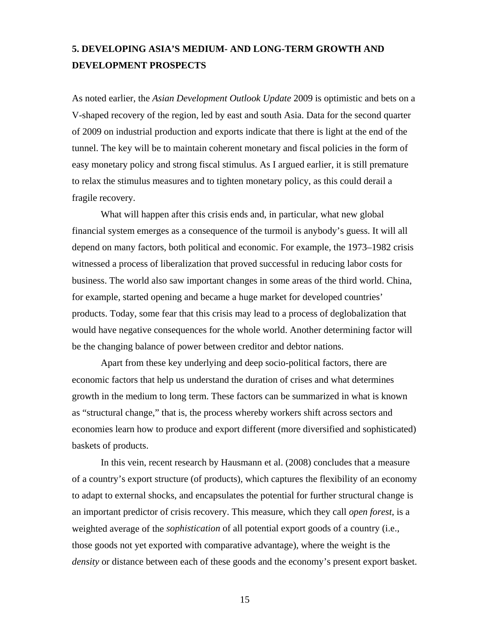# **5. DEVELOPING ASIA'S MEDIUM- AND LONG-TERM GROWTH AND DEVELOPMENT PROSPECTS**

As noted earlier, the *Asian Development Outlook Update* 2009 is optimistic and bets on a V-shaped recovery of the region, led by east and south Asia. Data for the second quarter of 2009 on industrial production and exports indicate that there is light at the end of the tunnel. The key will be to maintain coherent monetary and fiscal policies in the form of easy monetary policy and strong fiscal stimulus. As I argued earlier, it is still premature to relax the stimulus measures and to tighten monetary policy, as this could derail a fragile recovery.

What will happen after this crisis ends and, in particular, what new global financial system emerges as a consequence of the turmoil is anybody's guess. It will all depend on many factors, both political and economic. For example, the 1973–1982 crisis witnessed a process of liberalization that proved successful in reducing labor costs for business. The world also saw important changes in some areas of the third world. China, for example, started opening and became a huge market for developed countries' products. Today, some fear that this crisis may lead to a process of deglobalization that would have negative consequences for the whole world. Another determining factor will be the changing balance of power between creditor and debtor nations.

Apart from these key underlying and deep socio-political factors, there are economic factors that help us understand the duration of crises and what determines growth in the medium to long term. These factors can be summarized in what is known as "structural change," that is, the process whereby workers shift across sectors and economies learn how to produce and export different (more diversified and sophisticated) baskets of products.

In this vein, recent research by Hausmann et al. (2008) concludes that a measure of a country's export structure (of products), which captures the flexibility of an economy to adapt to external shocks, and encapsulates the potential for further structural change is an important predictor of crisis recovery. This measure, which they call *open forest*, is a weighted average of the *sophistication* of all potential export goods of a country (i.e., those goods not yet exported with comparative advantage), where the weight is the *density* or distance between each of these goods and the economy's present export basket.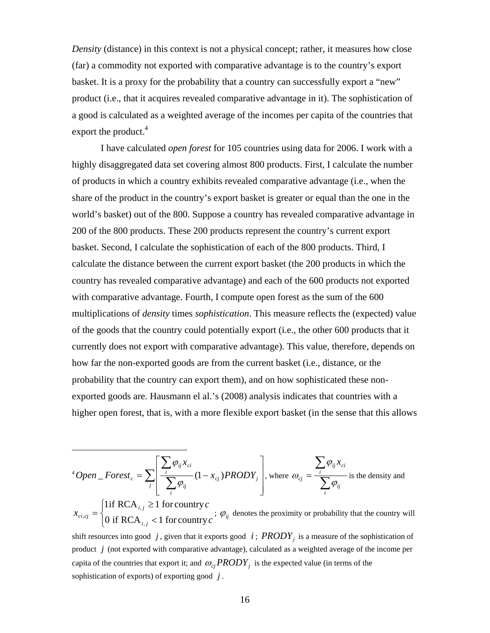*Density* (distance) in this context is not a physical concept; rather, it measures how close (far) a commodity not exported with comparative advantage is to the country's export basket. It is a proxy for the probability that a country can successfully export a "new" product (i.e., that it acquires revealed comparative advantage in it). The sophistication of a good is calculated as a weighted average of the incomes per capita of the countries that export the product.<sup>4</sup>

I have calculated *open forest* for 105 countries using data for 2006. I work with a highly disaggregated data set covering almost 800 products. First, I calculate the number of products in which a country exhibits revealed comparative advantage (i.e., when the share of the product in the country's export basket is greater or equal than the one in the world's basket) out of the 800. Suppose a country has revealed comparative advantage in 200 of the 800 products. These 200 products represent the country's current export basket. Second, I calculate the sophistication of each of the 800 products. Third, I calculate the distance between the current export basket (the 200 products in which the country has revealed comparative advantage) and each of the 600 products not exported with comparative advantage. Fourth, I compute open forest as the sum of the 600 multiplications of *density* times *sophistication*. This measure reflects the (expected) value of the goods that the country could potentially export (i.e., the other 600 products that it currently does not export with comparative advantage). This value, therefore, depends on how far the non-exported goods are from the current basket (i.e., distance, or the probability that the country can export them), and on how sophisticated these nonexported goods are. Hausmann el al.'s (2008) analysis indicates that countries with a higher open forest, that is, with a more flexible export basket (in the sense that this allows

<sup>4</sup> Open 
$$
\_
$$
 Forest<sub>c</sub> =  $\sum_{j} \left[ \frac{\sum_{i} \varphi_{ij} x_{ci}}{\sum_{i} \varphi_{ij}} (1 - x_{cj}) PRODY_j \right]$ , where  $\omega_{cj} = \frac{\sum_{i} \varphi_{ij} x_{ci}}{\sum_{i} \varphi_{ij}}$  is the density and

 $\overline{\mathcal{L}}$  $\vert$ ⎨  $\lceil$  $=\begin{cases} 1 \text{if } RCA_{i,j} \geq 1 \text{ for country } c \\ 0 \text{ if } RCA_{i,j} < 1 \text{ for country } c \end{cases}$ *x i j i j*  $\int_{c_i, c_j}$  0 if RCA<sub>i</sub>, <1 for country 1if RCA,  $\frac{1}{i} \geq 1$  for country ,  $\varphi_{i,j} =\begin{cases} \text{if } K \subset A_{i,j} \leq 1 \text{ for counting } t \\ 0 \text{ if } D \subset A_{i,j} \leq 1 \text{ for } \text{conv}(m) \end{cases}$ ;  $\varphi_{ij}$  denotes the proximity or probability that the country will

shift resources into good  $j$ , given that it exports good  $i$ ;  $PRODY<sub>j</sub>$  is a measure of the sophistication of product *j* (not exported with comparative advantage), calculated as a weighted average of the income per capita of the countries that export it; and  $\omega_{ci} PRODY_i$  is the expected value (in terms of the sophistication of exports) of exporting good *j* .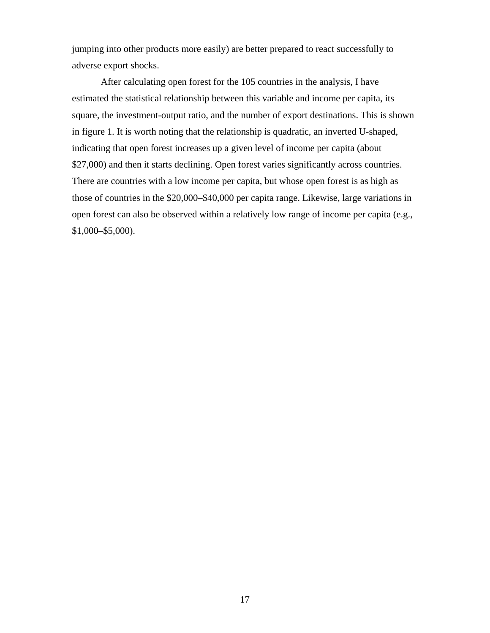jumping into other products more easily) are better prepared to react successfully to adverse export shocks.

After calculating open forest for the 105 countries in the analysis, I have estimated the statistical relationship between this variable and income per capita, its square, the investment-output ratio, and the number of export destinations. This is shown in figure 1. It is worth noting that the relationship is quadratic, an inverted U-shaped, indicating that open forest increases up a given level of income per capita (about \$27,000) and then it starts declining. Open forest varies significantly across countries. There are countries with a low income per capita, but whose open forest is as high as those of countries in the \$20,000–\$40,000 per capita range. Likewise, large variations in open forest can also be observed within a relatively low range of income per capita (e.g., \$1,000–\$5,000).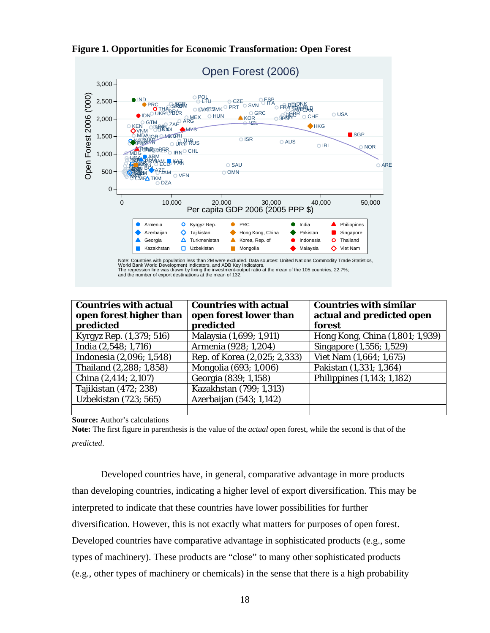

|  |  | <b>Figure 1. Opportunities for Economic Transformation: Open Forest</b> |  |  |
|--|--|-------------------------------------------------------------------------|--|--|
|  |  |                                                                         |  |  |

| <b>Countries with actual</b><br>open forest higher than<br>predicted | <b>Countries with actual</b><br>open forest lower than<br>predicted | <b>Countries with similar</b><br>actual and predicted open<br>forest |
|----------------------------------------------------------------------|---------------------------------------------------------------------|----------------------------------------------------------------------|
| Kyrgyz Rep. (1,379; 516)                                             | Malaysia (1,699; 1,911)                                             | Hong Kong, China (1,801; 1,939)                                      |
| India (2,548; 1,716)                                                 | Armenia (928; 1,204)                                                | Singapore (1,556; 1,529)                                             |
| Indonesia (2,096; 1,548)                                             | Rep. of Korea (2,025; 2,333)                                        | Viet Nam (1,664; 1,675)                                              |
| Thailand (2,288; 1,858)                                              | Mongolia (693; 1,006)                                               | Pakistan (1,331; 1,364)                                              |
| China (2,414; 2,107)                                                 | Georgia (839; 1,158)                                                | Philippines (1,143; 1,182)                                           |
| Tajikistan (472; 238)                                                | Kazakhstan (799; 1,313)                                             |                                                                      |
| Uzbekistan (723; 565)                                                | Azerbaijan (543; 1,142)                                             |                                                                      |
|                                                                      |                                                                     |                                                                      |

**Source:** Author's calculations

**Note:** The first figure in parenthesis is the value of the *actual* open forest, while the second is that of the *predicted*.

Developed countries have, in general, comparative advantage in more products than developing countries, indicating a higher level of export diversification. This may be interpreted to indicate that these countries have lower possibilities for further diversification. However, this is not exactly what matters for purposes of open forest. Developed countries have comparative advantage in sophisticated products (e.g., some types of machinery). These products are "close" to many other sophisticated products (e.g., other types of machinery or chemicals) in the sense that there is a high probability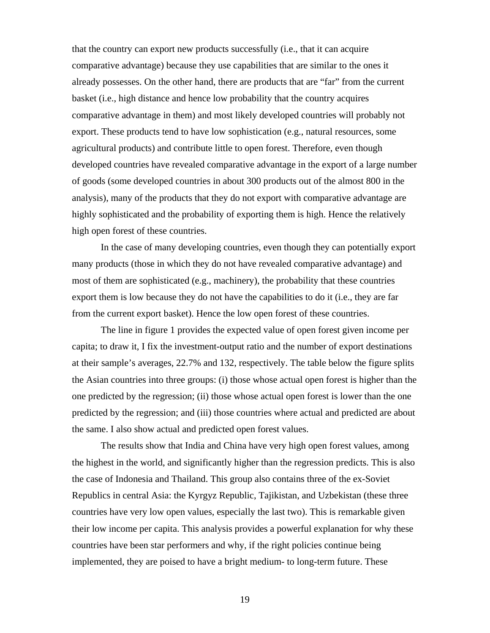that the country can export new products successfully (i.e., that it can acquire comparative advantage) because they use capabilities that are similar to the ones it already possesses. On the other hand, there are products that are "far" from the current basket (i.e., high distance and hence low probability that the country acquires comparative advantage in them) and most likely developed countries will probably not export. These products tend to have low sophistication (e.g., natural resources, some agricultural products) and contribute little to open forest. Therefore, even though developed countries have revealed comparative advantage in the export of a large number of goods (some developed countries in about 300 products out of the almost 800 in the analysis), many of the products that they do not export with comparative advantage are highly sophisticated and the probability of exporting them is high. Hence the relatively high open forest of these countries.

In the case of many developing countries, even though they can potentially export many products (those in which they do not have revealed comparative advantage) and most of them are sophisticated (e.g., machinery), the probability that these countries export them is low because they do not have the capabilities to do it (i.e., they are far from the current export basket). Hence the low open forest of these countries.

The line in figure 1 provides the expected value of open forest given income per capita; to draw it, I fix the investment-output ratio and the number of export destinations at their sample's averages, 22.7% and 132, respectively. The table below the figure splits the Asian countries into three groups: (i) those whose actual open forest is higher than the one predicted by the regression; (ii) those whose actual open forest is lower than the one predicted by the regression; and (iii) those countries where actual and predicted are about the same. I also show actual and predicted open forest values.

The results show that India and China have very high open forest values, among the highest in the world, and significantly higher than the regression predicts. This is also the case of Indonesia and Thailand. This group also contains three of the ex-Soviet Republics in central Asia: the Kyrgyz Republic, Tajikistan, and Uzbekistan (these three countries have very low open values, especially the last two). This is remarkable given their low income per capita. This analysis provides a powerful explanation for why these countries have been star performers and why, if the right policies continue being implemented, they are poised to have a bright medium- to long-term future. These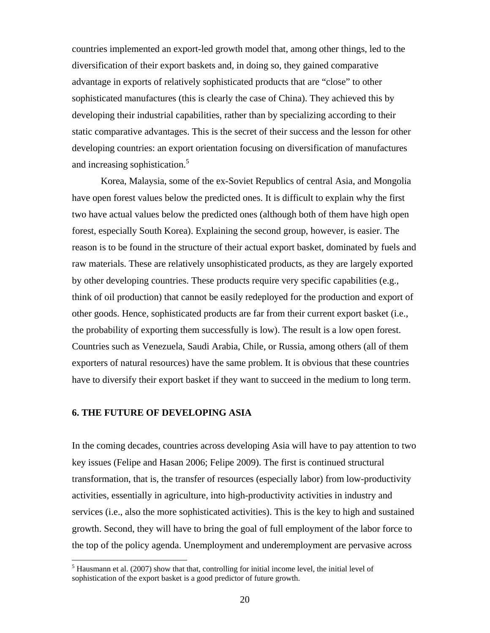countries implemented an export-led growth model that, among other things, led to the diversification of their export baskets and, in doing so, they gained comparative advantage in exports of relatively sophisticated products that are "close" to other sophisticated manufactures (this is clearly the case of China). They achieved this by developing their industrial capabilities, rather than by specializing according to their static comparative advantages. This is the secret of their success and the lesson for other developing countries: an export orientation focusing on diversification of manufactures and increasing sophistication.<sup>5</sup>

Korea, Malaysia, some of the ex-Soviet Republics of central Asia, and Mongolia have open forest values below the predicted ones. It is difficult to explain why the first two have actual values below the predicted ones (although both of them have high open forest, especially South Korea). Explaining the second group, however, is easier. The reason is to be found in the structure of their actual export basket, dominated by fuels and raw materials. These are relatively unsophisticated products, as they are largely exported by other developing countries. These products require very specific capabilities (e.g., think of oil production) that cannot be easily redeployed for the production and export of other goods. Hence, sophisticated products are far from their current export basket (i.e., the probability of exporting them successfully is low). The result is a low open forest. Countries such as Venezuela, Saudi Arabia, Chile, or Russia, among others (all of them exporters of natural resources) have the same problem. It is obvious that these countries have to diversify their export basket if they want to succeed in the medium to long term.

### **6. THE FUTURE OF DEVELOPING ASIA**

In the coming decades, countries across developing Asia will have to pay attention to two key issues (Felipe and Hasan 2006; Felipe 2009). The first is continued structural transformation, that is, the transfer of resources (especially labor) from low-productivity activities, essentially in agriculture, into high-productivity activities in industry and services (i.e., also the more sophisticated activities). This is the key to high and sustained growth. Second, they will have to bring the goal of full employment of the labor force to the top of the policy agenda. Unemployment and underemployment are pervasive across

 $<sup>5</sup>$  Hausmann et al. (2007) show that that, controlling for initial income level, the initial level of</sup> sophistication of the export basket is a good predictor of future growth.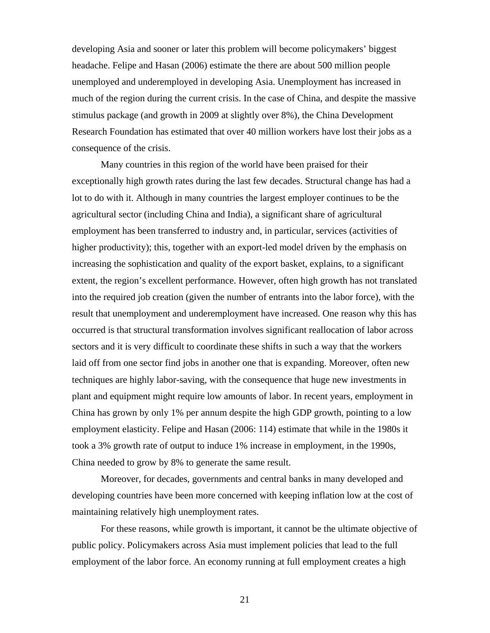developing Asia and sooner or later this problem will become policymakers' biggest headache. Felipe and Hasan (2006) estimate the there are about 500 million people unemployed and underemployed in developing Asia. Unemployment has increased in much of the region during the current crisis. In the case of China, and despite the massive stimulus package (and growth in 2009 at slightly over 8%), the China Development Research Foundation has estimated that over 40 million workers have lost their jobs as a consequence of the crisis.

Many countries in this region of the world have been praised for their exceptionally high growth rates during the last few decades. Structural change has had a lot to do with it. Although in many countries the largest employer continues to be the agricultural sector (including China and India), a significant share of agricultural employment has been transferred to industry and, in particular, services (activities of higher productivity); this, together with an export-led model driven by the emphasis on increasing the sophistication and quality of the export basket, explains, to a significant extent, the region's excellent performance. However, often high growth has not translated into the required job creation (given the number of entrants into the labor force), with the result that unemployment and underemployment have increased. One reason why this has occurred is that structural transformation involves significant reallocation of labor across sectors and it is very difficult to coordinate these shifts in such a way that the workers laid off from one sector find jobs in another one that is expanding. Moreover, often new techniques are highly labor-saving, with the consequence that huge new investments in plant and equipment might require low amounts of labor. In recent years, employment in China has grown by only 1% per annum despite the high GDP growth, pointing to a low employment elasticity. Felipe and Hasan (2006: 114) estimate that while in the 1980s it took a 3% growth rate of output to induce 1% increase in employment, in the 1990s, China needed to grow by 8% to generate the same result.

Moreover, for decades, governments and central banks in many developed and developing countries have been more concerned with keeping inflation low at the cost of maintaining relatively high unemployment rates.

For these reasons, while growth is important, it cannot be the ultimate objective of public policy. Policymakers across Asia must implement policies that lead to the full employment of the labor force. An economy running at full employment creates a high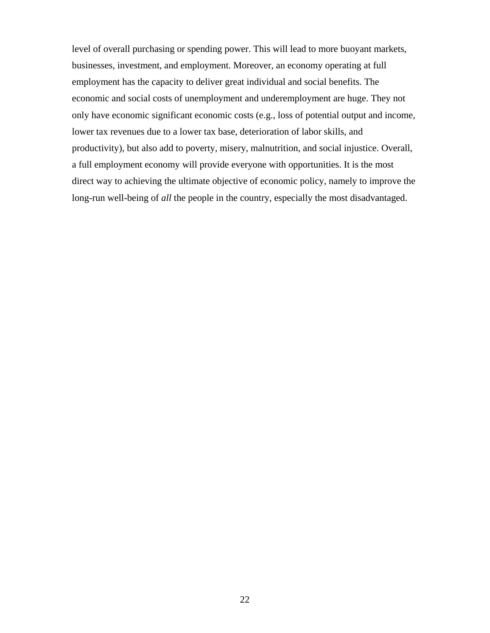level of overall purchasing or spending power. This will lead to more buoyant markets, businesses, investment, and employment. Moreover, an economy operating at full employment has the capacity to deliver great individual and social benefits. The economic and social costs of unemployment and underemployment are huge. They not only have economic significant economic costs (e.g., loss of potential output and income, lower tax revenues due to a lower tax base, deterioration of labor skills, and productivity), but also add to poverty, misery, malnutrition, and social injustice. Overall, a full employment economy will provide everyone with opportunities. It is the most direct way to achieving the ultimate objective of economic policy, namely to improve the long-run well-being of *all* the people in the country, especially the most disadvantaged.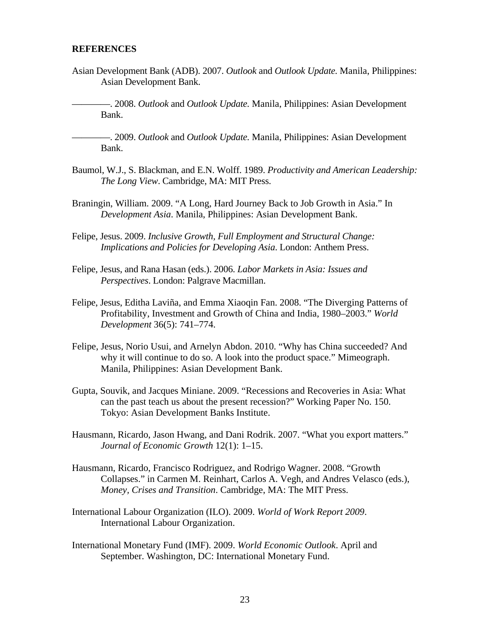#### **REFERENCES**

Asian Development Bank (ADB). 2007. *Outlook* and *Outlook Update.* Manila, Philippines: Asian Development Bank.

————. 2008. *Outlook* and *Outlook Update.* Manila, Philippines: Asian Development Bank.

————. 2009. *Outlook* and *Outlook Update.* Manila, Philippines: Asian Development Bank.

- Baumol, W.J., S. Blackman, and E.N. Wolff. 1989. *Productivity and American Leadership: The Long View*. Cambridge, MA: MIT Press.
- Braningin, William. 2009. "A Long, Hard Journey Back to Job Growth in Asia." In *Development Asia*. Manila, Philippines: Asian Development Bank.
- Felipe, Jesus. 2009. *Inclusive Growth, Full Employment and Structural Change: Implications and Policies for Developing Asia*. London: Anthem Press.
- Felipe, Jesus, and Rana Hasan (eds.). 2006. *Labor Markets in Asia: Issues and Perspectives*. London: Palgrave Macmillan.
- Felipe, Jesus, Editha Laviña, and Emma Xiaoqin Fan. 2008. "The Diverging Patterns of Profitability, Investment and Growth of China and India, 1980–2003." *World Development* 36(5): 741–774.
- Felipe, Jesus, Norio Usui, and Arnelyn Abdon. 2010. "Why has China succeeded? And why it will continue to do so. A look into the product space." Mimeograph. Manila, Philippines: Asian Development Bank.
- Gupta, Souvik, and Jacques Miniane. 2009. "Recessions and Recoveries in Asia: What can the past teach us about the present recession?" Working Paper No. 150. Tokyo: Asian Development Banks Institute.
- Hausmann, Ricardo, Jason Hwang, and Dani Rodrik. 2007. "What you export matters." *Journal of Economic Growth* 12(1): 1–15.
- Hausmann, Ricardo, Francisco Rodriguez, and Rodrigo Wagner. 2008. "Growth Collapses." in Carmen M. Reinhart, Carlos A. Vegh, and Andres Velasco (eds.), *Money, Crises and Transition*. Cambridge, MA: The MIT Press.
- International Labour Organization (ILO). 2009. *World of Work Report 2009*. International Labour Organization.
- International Monetary Fund (IMF). 2009. *World Economic Outlook*. April and September. Washington, DC: International Monetary Fund.